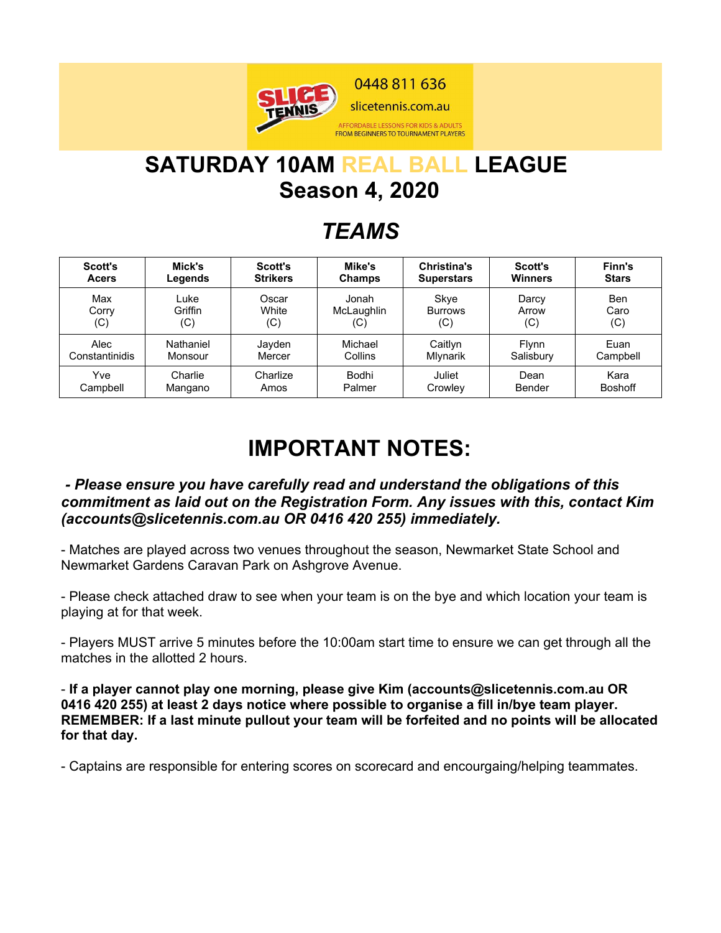

# **SATURDAY 10AM REAL BALL LEAGUE Season 4, 2020**

## *TEAMS*

| Scott's        | Mick's    | Scott's         | Mike's        | <b>Christina's</b> | <b>Scott's</b> | Finn's         |
|----------------|-----------|-----------------|---------------|--------------------|----------------|----------------|
| <b>Acers</b>   | Legends   | <b>Strikers</b> | <b>Champs</b> | <b>Superstars</b>  | <b>Winners</b> | <b>Stars</b>   |
| Max            | Luke      | Oscar           | Jonah         | Skye               | Darcy          | Ben            |
| Corry          | Griffin   | White           | McLaughlin    | <b>Burrows</b>     | Arrow          | Caro           |
| (C)            | (C)       | (C)             | (C)           | (C)                | (C)            | (C)            |
| Alec           | Nathaniel | Jayden          | Michael       | Caitlyn            | <b>Flynn</b>   | Euan           |
| Constantinidis | Monsour   | Mercer          | Collins       | Mlynarik           | Salisbury      | Campbell       |
| Yve            | Charlie   | Charlize        | Bodhi         | Juliet             | Dean           | Kara           |
| Campbell       | Mangano   | Amos            | Palmer        | Crowley            | Bender         | <b>Boshoff</b> |

# **IMPORTANT NOTES:**

#### *- Please ensure you have carefully read and understand the obligations of this commitment as laid out on the Registration Form. Any issues with this, contact Kim (accounts@slicetennis.com.au OR 0416 420 255) immediately.*

- Matches are played across two venues throughout the season, Newmarket State School and Newmarket Gardens Caravan Park on Ashgrove Avenue.

- Please check attached draw to see when your team is on the bye and which location your team is playing at for that week.

- Players MUST arrive 5 minutes before the 10:00am start time to ensure we can get through all the matches in the allotted 2 hours.

- **If a player cannot play one morning, please give Kim (accounts@slicetennis.com.au OR 0416 420 255) at least 2 days notice where possible to organise a fill in/bye team player. REMEMBER: If a last minute pullout your team will be forfeited and no points will be allocated for that day.**

- Captains are responsible for entering scores on scorecard and encourgaing/helping teammates.